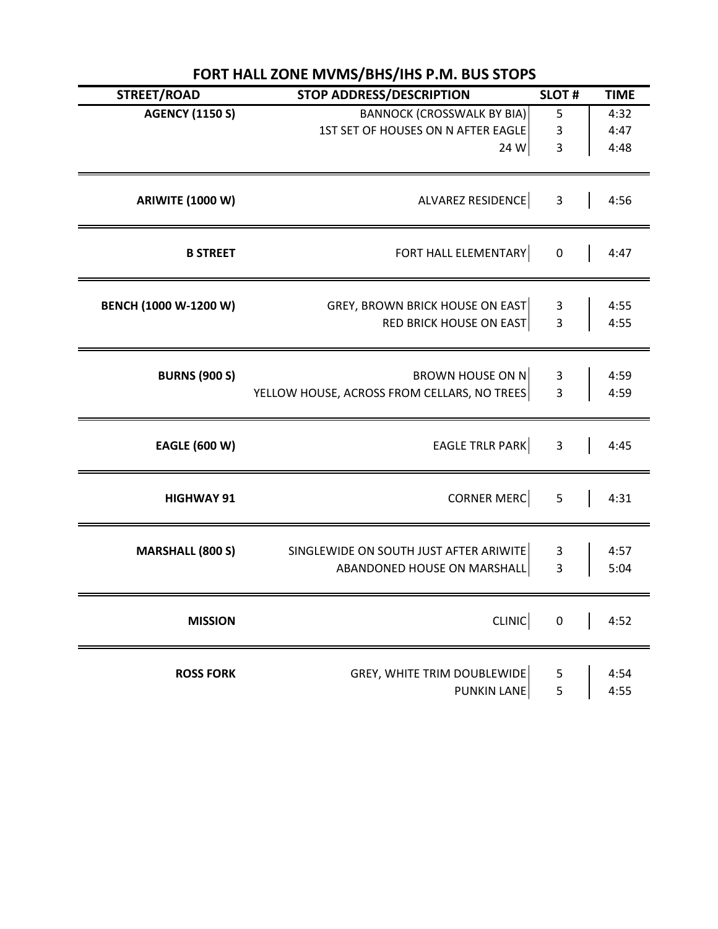| STREET/ROAD             | <b>STOP ADDRESS/DESCRIPTION</b>                                                 | <b>SLOT#</b>                                       | <b>TIME</b>          |
|-------------------------|---------------------------------------------------------------------------------|----------------------------------------------------|----------------------|
| <b>AGENCY (1150 S)</b>  | <b>BANNOCK (CROSSWALK BY BIA)</b><br>1ST SET OF HOUSES ON N AFTER EAGLE<br>24 W | $\overline{5}$<br>$\mathsf 3$<br>3                 | 4:32<br>4:47<br>4:48 |
| <b>ARIWITE (1000 W)</b> | ALVAREZ RESIDENCE                                                               | $\overline{\mathbf{3}}$                            | 4:56                 |
| <b>B STREET</b>         | FORT HALL ELEMENTARY                                                            | $\pmb{0}$                                          | 4:47                 |
| BENCH (1000 W-1200 W)   | <b>GREY, BROWN BRICK HOUSE ON EAST</b><br><b>RED BRICK HOUSE ON EAST</b>        | $\overline{\mathbf{3}}$<br>$\overline{\mathbf{3}}$ | 4:55<br>4:55         |
| <b>BURNS (900 S)</b>    | BROWN HOUSE ON N<br>YELLOW HOUSE, ACROSS FROM CELLARS, NO TREES                 | 3<br>$\overline{3}$                                | 4:59<br>4:59         |
| <b>EAGLE (600 W)</b>    | EAGLE TRLR PARK                                                                 | $\overline{\mathbf{3}}$                            | 4:45                 |
| <b>HIGHWAY 91</b>       | <b>CORNER MERC</b>                                                              | 5                                                  | 4:31                 |
| <b>MARSHALL (800 S)</b> | SINGLEWIDE ON SOUTH JUST AFTER ARIWITE<br>ABANDONED HOUSE ON MARSHALL           | 3<br>3                                             | 4:57<br>5:04         |
| <b>MISSION</b>          | <b>CLINIC</b>                                                                   | $\pmb{0}$                                          | 4:52                 |
| <b>ROSS FORK</b>        | <b>GREY, WHITE TRIM DOUBLEWIDE</b><br>PUNKIN LANE                               | 5<br>5                                             | 4:54<br>4:55         |

## **FORT HALL ZONE MVMS/BHS/IHS P.M. BUS STOPS**